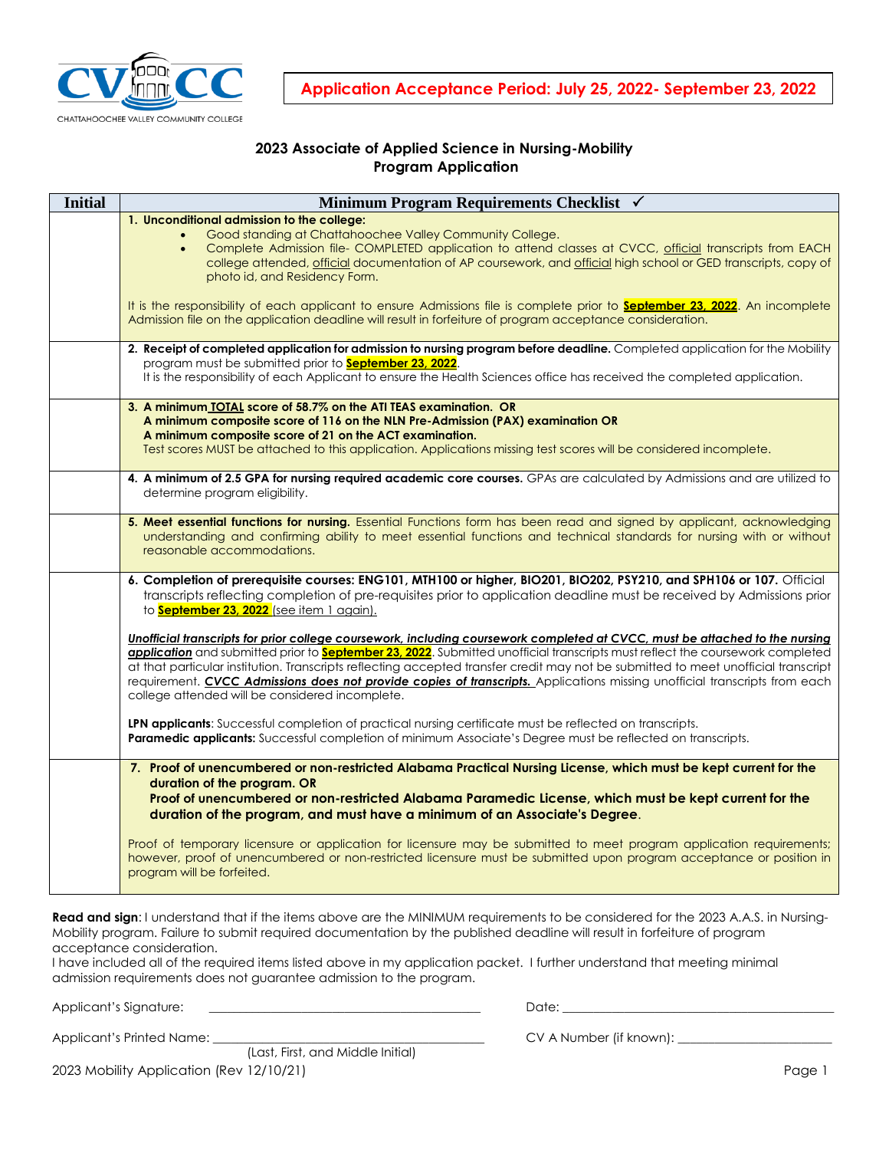

**Application Acceptance Period: July 25, 2022- September 23, 2022**

# **2023 Associate of Applied Science in Nursing-Mobility Program Application**

| <b>Initial</b> | Minimum Program Requirements Checklist √                                                                                                                                                                                                                                                                                                                                                                                                                                                                                                                                                     |
|----------------|----------------------------------------------------------------------------------------------------------------------------------------------------------------------------------------------------------------------------------------------------------------------------------------------------------------------------------------------------------------------------------------------------------------------------------------------------------------------------------------------------------------------------------------------------------------------------------------------|
|                | 1. Unconditional admission to the college:<br>Good standing at Chattahoochee Valley Community College.<br>Complete Admission file- COMPLETED application to attend classes at CVCC, official transcripts from EACH<br>college attended, official documentation of AP coursework, and official high school or GED transcripts, copy of<br>photo id, and Residency Form.                                                                                                                                                                                                                       |
|                | It is the responsibility of each applicant to ensure Admissions file is complete prior to <b>September 23, 2022</b> . An incomplete<br>Admission file on the application deadline will result in forfeiture of program acceptance consideration.                                                                                                                                                                                                                                                                                                                                             |
|                | 2. Receipt of completed application for admission to nursing program before deadline. Completed application for the Mobility<br>program must be submitted prior to <b>September 23, 2022</b> .<br>It is the responsibility of each Applicant to ensure the Health Sciences office has received the completed application.                                                                                                                                                                                                                                                                    |
|                | 3. A minimum TOTAL score of 58.7% on the ATI TEAS examination. OR<br>A minimum composite score of 116 on the NLN Pre-Admission (PAX) examination OR<br>A minimum composite score of 21 on the ACT examination.<br>Test scores MUST be attached to this application. Applications missing test scores will be considered incomplete.                                                                                                                                                                                                                                                          |
|                | 4. A minimum of 2.5 GPA for nursing required academic core courses. GPAs are calculated by Admissions and are utilized to<br>determine program eligibility.                                                                                                                                                                                                                                                                                                                                                                                                                                  |
|                | 5. Meet essential functions for nursing. Essential Functions form has been read and signed by applicant, acknowledging<br>understanding and confirming ability to meet essential functions and technical standards for nursing with or without<br>reasonable accommodations.                                                                                                                                                                                                                                                                                                                 |
|                | 6. Completion of prerequisite courses: ENG101, MTH100 or higher, BIO201, BIO202, PSY210, and SPH106 or 107. Official<br>transcripts reflecting completion of pre-requisites prior to application deadline must be received by Admissions prior<br>to <b>September 23, 2022</b> (see item 1 again).                                                                                                                                                                                                                                                                                           |
|                | Unofficial transcripts for prior college coursework, including coursework completed at CVCC, must be attached to the nursing<br>application and submitted prior to <b>September 23, 2022</b> . Submitted unofficial transcripts must reflect the coursework completed<br>at that particular institution. Transcripts reflecting accepted transfer credit may not be submitted to meet unofficial transcript<br>requirement. CVCC Admissions does not provide copies of transcripts. Applications missing unofficial transcripts from each<br>college attended will be considered incomplete. |
|                | LPN applicants: Successful completion of practical nursing certificate must be reflected on transcripts.<br>Paramedic applicants: Successful completion of minimum Associate's Degree must be reflected on transcripts.                                                                                                                                                                                                                                                                                                                                                                      |
|                | 7. Proof of unencumbered or non-restricted Alabama Practical Nursing License, which must be kept current for the<br>duration of the program. OR<br>Proof of unencumbered or non-restricted Alabama Paramedic License, which must be kept current for the<br>duration of the program, and must have a minimum of an Associate's Degree.                                                                                                                                                                                                                                                       |
|                | Proof of temporary licensure or application for licensure may be submitted to meet program application requirements;<br>however, proof of unencumbered or non-restricted licensure must be submitted upon program acceptance or position in<br>program will be forfeited.                                                                                                                                                                                                                                                                                                                    |

Read and sign: I understand that if the items above are the MINIMUM requirements to be considered for the 2023 A.A.S. in Nursing-Mobility program. Failure to submit required documentation by the published deadline will result in forfeiture of program acceptance consideration.

I have included all of the required items listed above in my application packet. I further understand that meeting minimal admission requirements does not guarantee admission to the program.

Applicant's Signature: \_\_\_\_\_\_\_\_\_\_\_\_\_\_\_\_\_\_\_\_\_\_\_\_\_\_\_\_\_\_\_\_\_\_\_\_\_\_\_\_\_\_\_\_ Date: \_\_\_\_\_\_\_\_\_\_\_\_\_\_\_\_\_\_\_\_\_\_\_\_\_\_\_\_\_\_\_\_\_\_\_\_\_\_\_\_\_\_\_\_

Applicant's Printed Name: \_\_\_\_\_\_\_\_\_\_\_\_\_\_\_\_\_\_\_\_\_\_\_\_\_\_\_\_\_\_\_\_\_\_\_\_\_\_\_\_\_\_\_\_ CV A Number (if known): \_\_\_\_\_\_\_\_\_\_\_\_\_\_\_\_\_\_\_\_\_\_\_\_\_

2023 Mobility Application (Rev 12/10/21) and the control of the control of the control of the control of the control of the control of the control of the control of the control of the control of the control of the control (Last, First, and Middle Initial)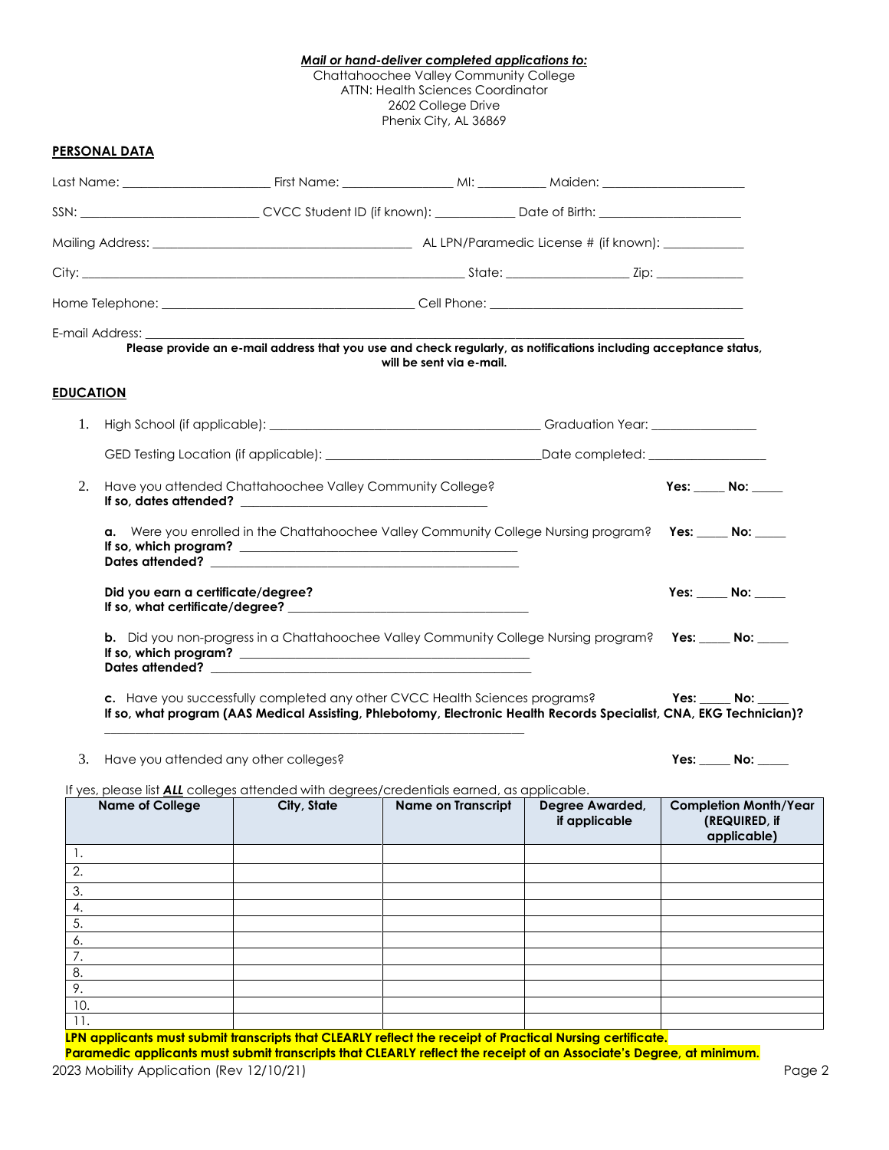### *Mail or hand-deliver completed applications to:*

Chattahoochee Valley Community College ATTN: Health Sciences Coordinator 2602 College Drive Phenix City, AL 36869

### **PERSONAL DATA**

|                  |                                       |                                                           | SSN: ___________________________CVCC Student ID (if known): ____________Date of Birth: ___________________                                                                                         |                                  |                                                              |
|------------------|---------------------------------------|-----------------------------------------------------------|----------------------------------------------------------------------------------------------------------------------------------------------------------------------------------------------------|----------------------------------|--------------------------------------------------------------|
|                  |                                       |                                                           |                                                                                                                                                                                                    |                                  |                                                              |
|                  |                                       |                                                           |                                                                                                                                                                                                    |                                  |                                                              |
|                  |                                       |                                                           |                                                                                                                                                                                                    |                                  |                                                              |
|                  | E-mail Address:                       |                                                           | Please provide an e-mail address that you use and check regularly, as notifications including acceptance status,<br>will be sent via e-mail.                                                       |                                  |                                                              |
| <b>EDUCATION</b> |                                       |                                                           |                                                                                                                                                                                                    |                                  |                                                              |
| 1.               |                                       |                                                           |                                                                                                                                                                                                    |                                  |                                                              |
|                  |                                       |                                                           | GED Testing Location (if applicable): _________________________________Date completed: _____________                                                                                               |                                  |                                                              |
| 2.               |                                       | Have you attended Chattahoochee Valley Community College? |                                                                                                                                                                                                    |                                  | Yes: $\rule{1em}{0.15mm}$ No: $\rule{1em}{0.15mm}$           |
|                  |                                       |                                                           | a. Were you enrolled in the Chattahoochee Valley Community College Nursing program? Yes: ____ No: ____                                                                                             |                                  |                                                              |
|                  | Did you earn a certificate/degree?    |                                                           |                                                                                                                                                                                                    |                                  | Yes: No:                                                     |
|                  |                                       |                                                           | <b>b.</b> Did you non-progress in a Chattahoochee Valley Community College Nursing program? Yes: ____ No: ____<br>If so, which program? $\qquad \qquad$                                            |                                  |                                                              |
|                  |                                       |                                                           | c. Have you successfully completed any other CVCC Health Sciences programs?<br>If so, what program (AAS Medical Assisting, Phlebotomy, Electronic Health Records Specialist, CNA, EKG Technician)? |                                  | Yes: No:                                                     |
| 3.               | Have you attended any other colleges? |                                                           |                                                                                                                                                                                                    |                                  | Yes: $\_\_$ No: $\_\_$                                       |
|                  | <b>Name of College</b>                | City, State                                               | If yes, please list <b>ALL</b> colleges attended with degrees/credentials earned, as applicable.<br><b>Name on Transcript</b>                                                                      | Degree Awarded,<br>if applicable | <b>Completion Month/Year</b><br>(REQUIRED, if<br>applicable) |
| 1.<br>2.         |                                       |                                                           |                                                                                                                                                                                                    |                                  |                                                              |
| 3.               |                                       |                                                           |                                                                                                                                                                                                    |                                  |                                                              |

4. 5. 6. 7. 8. 9.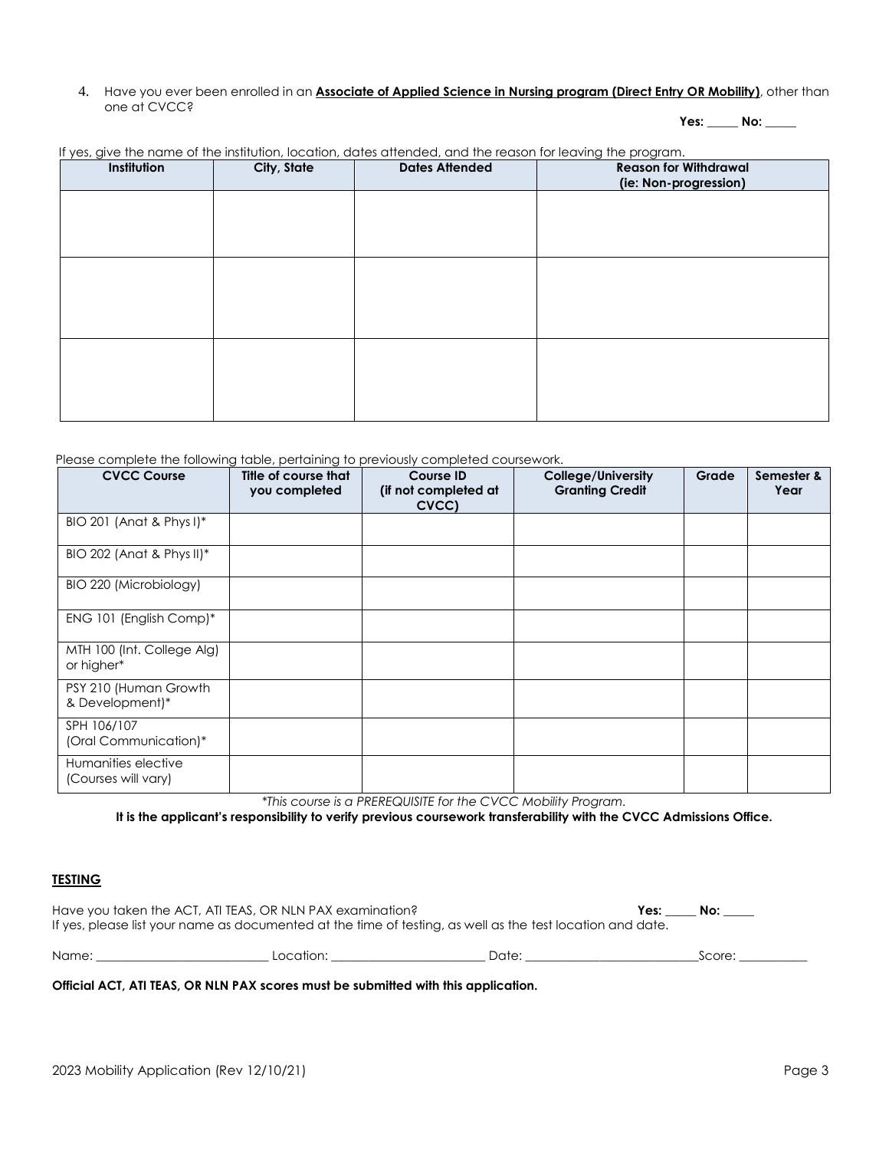4. Have you ever been enrolled in an **Associate of Applied Science in Nursing program (Direct Entry OR Mobility)**, other than one at CVCC?

**Yes: \_\_\_\_\_ No: \_\_\_\_\_**

| Institution | City, State | <b>Dates Attended</b> | <b>Reason for Withdrawal</b><br>(ie: Non-progression) |
|-------------|-------------|-----------------------|-------------------------------------------------------|
|             |             |                       |                                                       |
|             |             |                       |                                                       |
|             |             |                       |                                                       |
|             |             |                       |                                                       |
|             |             |                       |                                                       |
|             |             |                       |                                                       |
|             |             |                       |                                                       |

If yes, give the name of the institution, location, dates attended, and the reason for leaving the program.

Please complete the following table, pertaining to previously completed coursework.

| <b>CVCC Course</b>                         | Title of course that<br>you completed | <b>Course ID</b><br>(if not completed at<br>CVCC) | College/University<br><b>Granting Credit</b> | Grade | Semester &<br>Year |
|--------------------------------------------|---------------------------------------|---------------------------------------------------|----------------------------------------------|-------|--------------------|
| BIO 201 (Anat & Phys I)*                   |                                       |                                                   |                                              |       |                    |
| BIO 202 (Anat & Phys II)*                  |                                       |                                                   |                                              |       |                    |
| BIO 220 (Microbiology)                     |                                       |                                                   |                                              |       |                    |
| ENG 101 (English Comp)*                    |                                       |                                                   |                                              |       |                    |
| MTH 100 (Int. College Alg)<br>or higher*   |                                       |                                                   |                                              |       |                    |
| PSY 210 (Human Growth<br>& Development)*   |                                       |                                                   |                                              |       |                    |
| SPH 106/107<br>(Oral Communication)*       |                                       |                                                   |                                              |       |                    |
| Humanities elective<br>(Courses will vary) |                                       |                                                   |                                              |       |                    |

*\*This course is a PREREQUISITE for the CVCC Mobility Program.*

**It is the applicant's responsibility to verify previous coursework transferability with the CVCC Admissions Office.**

## **TESTING**

| Have you taken the ACT, ATI TEAS, OR NLN PAX examination?<br>Yes: |           |                                                                                                            |  | No:    |  |
|-------------------------------------------------------------------|-----------|------------------------------------------------------------------------------------------------------------|--|--------|--|
|                                                                   |           | If yes, please list your name as documented at the time of testing, as well as the test location and date. |  |        |  |
| Name:                                                             | Location: | Date:                                                                                                      |  | Score: |  |

**Official ACT, ATI TEAS, OR NLN PAX scores must be submitted with this application.**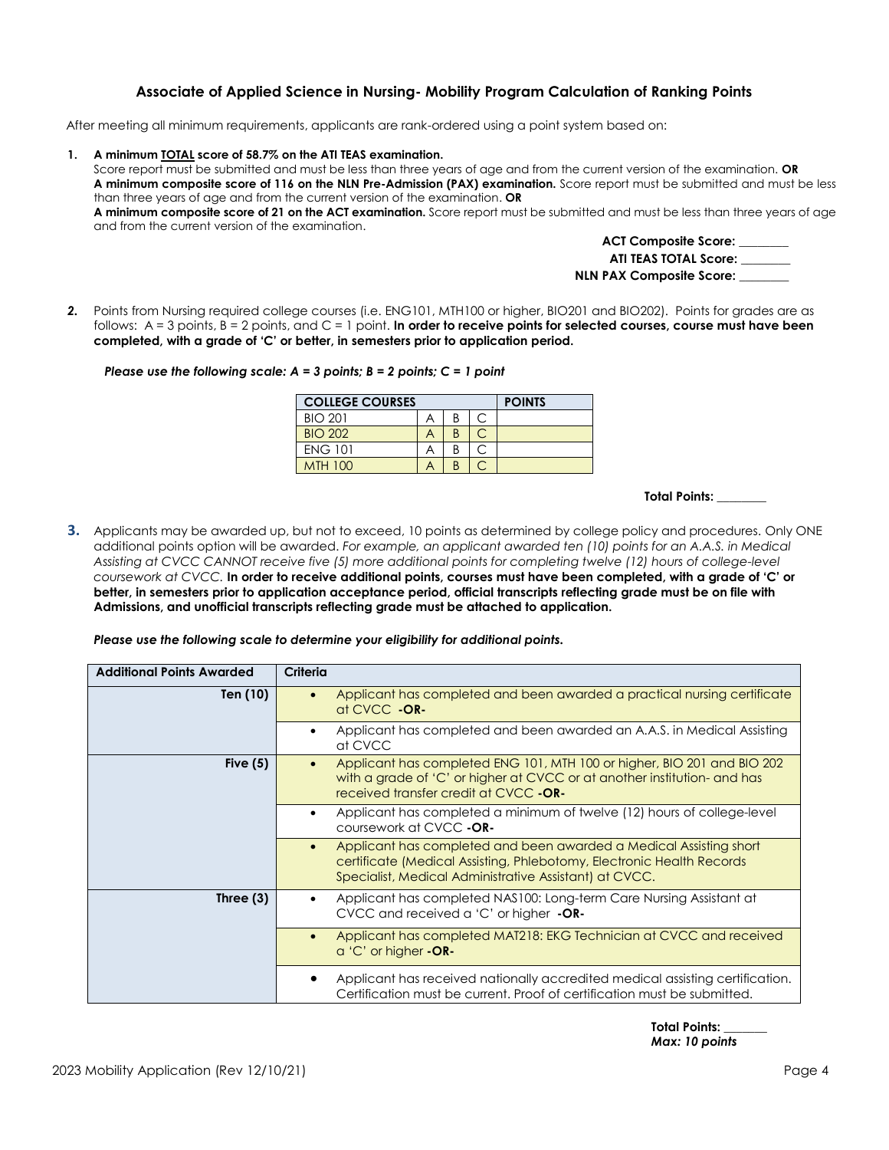# **Associate of Applied Science in Nursing- Mobility Program Calculation of Ranking Points**

After meeting all minimum requirements, applicants are rank-ordered using a point system based on:

#### **1. A minimum TOTAL score of 58.7% on the ATI TEAS examination.**

Score report must be submitted and must be less than three years of age and from the current version of the examination. **OR A minimum composite score of 116 on the NLN Pre-Admission (PAX) examination.** Score report must be submitted and must be less than three years of age and from the current version of the examination. **OR**

**A minimum composite score of 21 on the ACT examination.** Score report must be submitted and must be less than three years of age and from the current version of the examination.

| <b>ACT Composite Score:</b>     |  |
|---------------------------------|--|
| ATI TEAS TOTAL Score:           |  |
| <b>NLN PAX Composite Score:</b> |  |

*2.* Points from Nursing required college courses (i.e. ENG101, MTH100 or higher, BIO201 and BIO202). Points for grades are as follows: A = 3 points, B = 2 points, and C = 1 point. **In order to receive points for selected courses, course must have been completed, with a grade of 'C' or better, in semesters prior to application period.**

#### *Please use the following scale: A = 3 points; B = 2 points; C = 1 point*

| <b>COLLEGE COURSES</b> |  |   | <b>POINTS</b> |  |
|------------------------|--|---|---------------|--|
| <b>BIO 201</b>         |  | R |               |  |
| <b>BIO 202</b>         |  |   |               |  |
| <b>ENG 101</b>         |  | В |               |  |
| <b>MTH 100</b>         |  | P |               |  |

 **Total Points: \_\_\_\_\_\_\_\_**

**3.** Applicants may be awarded up, but not to exceed, 10 points as determined by college policy and procedures. Only ONE additional points option will be awarded. *For example, an applicant awarded ten (10) points for an A.A.S. in Medical Assisting at CVCC CANNOT receive five (5) more additional points for completing twelve (12) hours of college-level coursework at CVCC.* **In order to receive additional points, courses must have been completed, with a grade of 'C' or better, in semesters prior to application acceptance period, official transcripts reflecting grade must be on file with Admissions, and unofficial transcripts reflecting grade must be attached to application.**

#### *Please use the following scale to determine your eligibility for additional points.*

| <b>Additional Points Awarded</b> | Criteria                                                                                                                                                                                                           |
|----------------------------------|--------------------------------------------------------------------------------------------------------------------------------------------------------------------------------------------------------------------|
| Ten (10)                         | Applicant has completed and been awarded a practical nursing certificate<br>$\bullet$<br>at CVCC -OR-                                                                                                              |
|                                  | Applicant has completed and been awarded an A.A.S. in Medical Assisting<br>٠<br>at CVCC                                                                                                                            |
| Five $(5)$                       | Applicant has completed ENG 101, MTH 100 or higher, BIO 201 and BIO 202<br>$\bullet$<br>with a grade of 'C' or higher at CVCC or at another institution- and has<br>received transfer credit at CVCC -OR-          |
|                                  | Applicant has completed a minimum of twelve (12) hours of college-level<br>٠<br>coursework at CVCC -OR-                                                                                                            |
|                                  | Applicant has completed and been awarded a Medical Assisting short<br>$\bullet$<br>certificate (Medical Assisting, Phlebotomy, Electronic Health Records<br>Specialist, Medical Administrative Assistant) at CVCC. |
| Three $(3)$                      | Applicant has completed NAS100: Long-term Care Nursing Assistant at<br>٠<br>CVCC and received a 'C' or higher -OR-                                                                                                 |
|                                  | Applicant has completed MAT218: EKG Technician at CVCC and received<br>$\bullet$<br>$a'$ C' or higher $-OR-$                                                                                                       |
|                                  | Applicant has received nationally accredited medical assisting certification.<br>Certification must be current. Proof of certification must be submitted.                                                          |

 **Total Points: \_\_\_\_\_\_\_**  *Max: 10 points*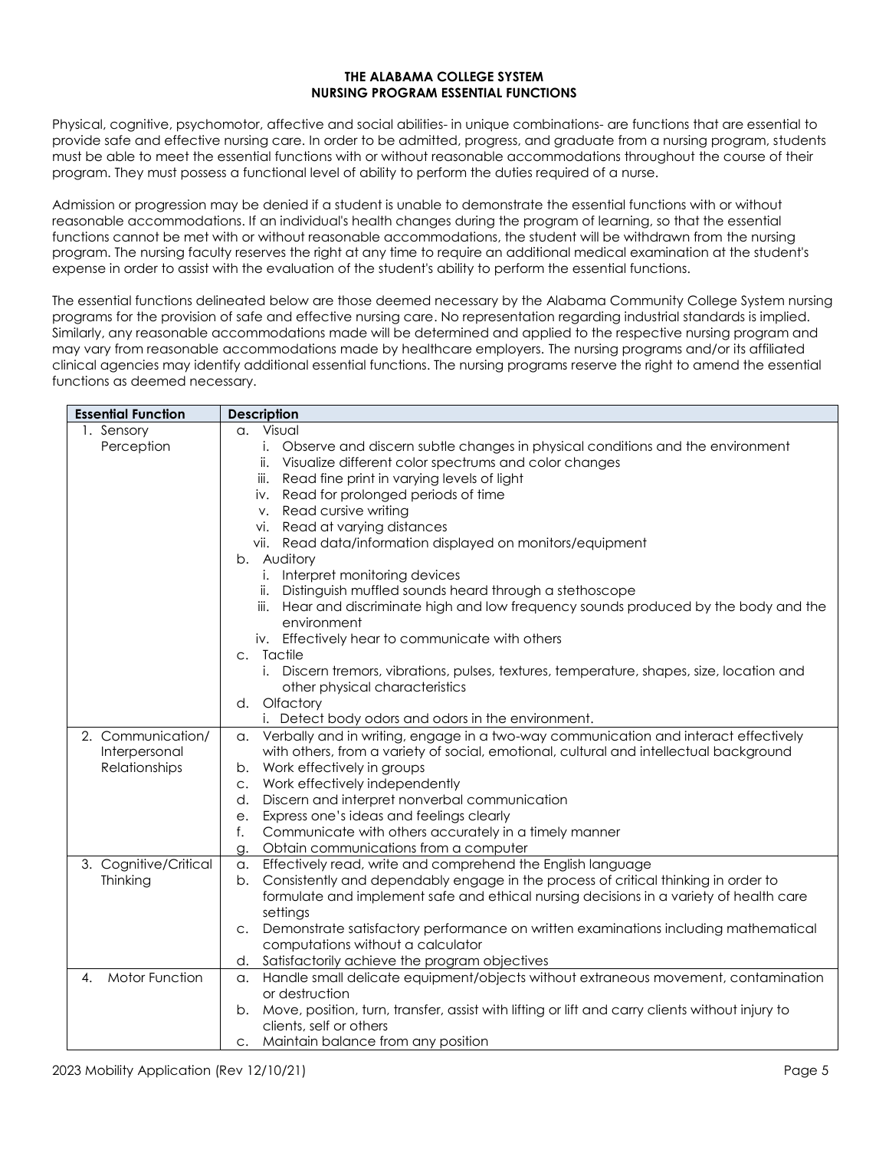#### **THE ALABAMA COLLEGE SYSTEM NURSING PROGRAM ESSENTIAL FUNCTIONS**

Physical, cognitive, psychomotor, affective and social abilities- in unique combinations- are functions that are essential to provide safe and effective nursing care. In order to be admitted, progress, and graduate from a nursing program, students must be able to meet the essential functions with or without reasonable accommodations throughout the course of their program. They must possess a functional level of ability to perform the duties required of a nurse.

Admission or progression may be denied if a student is unable to demonstrate the essential functions with or without reasonable accommodations. If an individual's health changes during the program of learning, so that the essential functions cannot be met with or without reasonable accommodations, the student will be withdrawn from the nursing program. The nursing faculty reserves the right at any time to require an additional medical examination at the student's expense in order to assist with the evaluation of the student's ability to perform the essential functions.

The essential functions delineated below are those deemed necessary by the Alabama Community College System nursing programs for the provision of safe and effective nursing care. No representation regarding industrial standards is implied. Similarly, any reasonable accommodations made will be determined and applied to the respective nursing program and may vary from reasonable accommodations made by healthcare employers. The nursing programs and/or its affiliated clinical agencies may identify additional essential functions. The nursing programs reserve the right to amend the essential functions as deemed necessary.

| <b>Essential Function</b>   | <b>Description</b>                                                                                                          |
|-----------------------------|-----------------------------------------------------------------------------------------------------------------------------|
| 1. Sensory                  | a. Visual                                                                                                                   |
| Perception                  | Observe and discern subtle changes in physical conditions and the environment<br>i.                                         |
|                             | ii. Visualize different color spectrums and color changes                                                                   |
|                             | iii. Read fine print in varying levels of light                                                                             |
|                             | iv. Read for prolonged periods of time                                                                                      |
|                             | v. Read cursive writing                                                                                                     |
|                             | vi. Read at varying distances                                                                                               |
|                             | vii. Read data/information displayed on monitors/equipment                                                                  |
|                             | b. Auditory                                                                                                                 |
|                             | i. Interpret monitoring devices                                                                                             |
|                             | ii. Distinguish muffled sounds heard through a stethoscope                                                                  |
|                             | iii. Hear and discriminate high and low frequency sounds produced by the body and the                                       |
|                             | environment                                                                                                                 |
|                             | iv. Effectively hear to communicate with others                                                                             |
|                             | c. Tactile                                                                                                                  |
|                             | i. Discern tremors, vibrations, pulses, textures, temperature, shapes, size, location and                                   |
|                             | other physical characteristics                                                                                              |
|                             | d. Olfactory                                                                                                                |
|                             | i. Detect body odors and odors in the environment.                                                                          |
| 2. Communication/           | Verbally and in writing, engage in a two-way communication and interact effectively<br>a.                                   |
| Interpersonal               | with others, from a variety of social, emotional, cultural and intellectual background                                      |
| Relationships               | b. Work effectively in groups                                                                                               |
|                             | c. Work effectively independently                                                                                           |
|                             | Discern and interpret nonverbal communication<br>d.                                                                         |
|                             | Express one's ideas and feelings clearly<br>e.                                                                              |
|                             | Communicate with others accurately in a timely manner<br>f.                                                                 |
|                             | Obtain communications from a computer<br>g.                                                                                 |
| 3. Cognitive/Critical       | Effectively read, write and comprehend the English language<br>a.                                                           |
| Thinking                    | b. Consistently and dependably engage in the process of critical thinking in order to                                       |
|                             | formulate and implement safe and ethical nursing decisions in a variety of health care                                      |
|                             | settings                                                                                                                    |
|                             | c. Demonstrate satisfactory performance on written examinations including mathematical<br>computations without a calculator |
|                             | d. Satisfactorily achieve the program objectives                                                                            |
| <b>Motor Function</b><br>4. | Handle small delicate equipment/objects without extraneous movement, contamination                                          |
|                             | а.<br>or destruction                                                                                                        |
|                             | b. Move, position, turn, transfer, assist with lifting or lift and carry clients without injury to                          |
|                             | clients, self or others                                                                                                     |
|                             | c. Maintain balance from any position                                                                                       |
|                             |                                                                                                                             |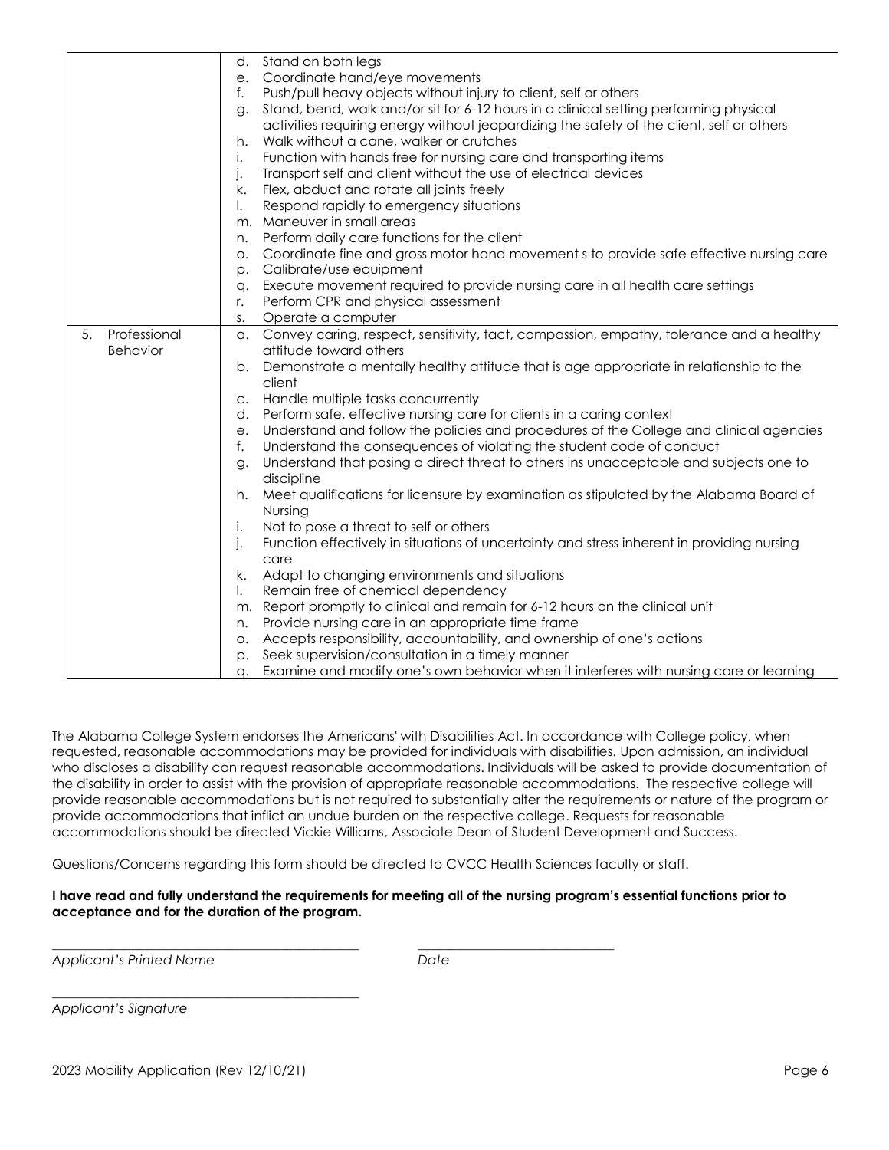|                    | Stand on both legs<br>d.                                                                            |
|--------------------|-----------------------------------------------------------------------------------------------------|
|                    | Coordinate hand/eye movements<br>e.                                                                 |
|                    | Push/pull heavy objects without injury to client, self or others<br>f.                              |
|                    | Stand, bend, walk and/or sit for 6-12 hours in a clinical setting performing physical<br>g.         |
|                    | activities requiring energy without jeopardizing the safety of the client, self or others           |
|                    | Walk without a cane, walker or crutches<br>h.                                                       |
|                    | Function with hands free for nursing care and transporting items<br>İ.                              |
|                    | Transport self and client without the use of electrical devices<br>j.                               |
|                    | Flex, abduct and rotate all joints freely<br>k.                                                     |
|                    | Respond rapidly to emergency situations<br>I.                                                       |
|                    | m. Maneuver in small areas                                                                          |
|                    | Perform daily care functions for the client<br>n.                                                   |
|                    | Coordinate fine and gross motor hand movement s to provide safe effective nursing care<br>$\circ$ . |
|                    | Calibrate/use equipment<br>p.                                                                       |
|                    | Execute movement required to provide nursing care in all health care settings<br>q.                 |
|                    | Perform CPR and physical assessment<br>r.                                                           |
|                    | Operate a computer<br>S.                                                                            |
| Professional<br>5. | a. Convey caring, respect, sensitivity, tact, compassion, empathy, tolerance and a healthy          |
| Behavior           | attitude toward others                                                                              |
|                    | Demonstrate a mentally healthy attitude that is age appropriate in relationship to the<br>b.        |
|                    | client                                                                                              |
|                    | Handle multiple tasks concurrently<br>C.                                                            |
|                    | Perform safe, effective nursing care for clients in a caring context<br>d.                          |
|                    | Understand and follow the policies and procedures of the College and clinical agencies<br>e.        |
|                    | Understand the consequences of violating the student code of conduct<br>f.                          |
|                    | Understand that posing a direct threat to others ins unacceptable and subjects one to<br>g.         |
|                    | discipline                                                                                          |
|                    | Meet qualifications for licensure by examination as stipulated by the Alabama Board of<br>h.        |
|                    | Nursing                                                                                             |
|                    | Not to pose a threat to self or others<br>İ.                                                        |
|                    | Function effectively in situations of uncertainty and stress inherent in providing nursing<br>j.    |
|                    | care                                                                                                |
|                    | Adapt to changing environments and situations<br>k.                                                 |
|                    | Remain free of chemical dependency<br>I.                                                            |
|                    | m. Report promptly to clinical and remain for 6-12 hours on the clinical unit                       |
|                    | Provide nursing care in an appropriate time frame<br>n.                                             |
|                    | Accepts responsibility, accountability, and ownership of one's actions<br>О.                        |
|                    | Seek supervision/consultation in a timely manner<br>p.                                              |
|                    | Examine and modify one's own behavior when it interferes with nursing care or learning<br>q.        |

The Alabama College System endorses the Americans' with Disabilities Act. In accordance with College policy, when requested, reasonable accommodations may be provided for individuals with disabilities. Upon admission, an individual who discloses a disability can request reasonable accommodations. Individuals will be asked to provide documentation of the disability in order to assist with the provision of appropriate reasonable accommodations. The respective college will provide reasonable accommodations but is not required to substantially alter the requirements or nature of the program or provide accommodations that inflict an undue burden on the respective college. Requests for reasonable accommodations should be directed Vickie Williams, Associate Dean of Student Development and Success.

Questions/Concerns regarding this form should be directed to CVCC Health Sciences faculty or staff.

*\_\_\_\_\_\_\_\_\_\_\_\_\_\_\_\_\_\_\_\_\_\_\_\_\_\_\_\_\_\_\_\_\_\_\_\_\_\_\_\_\_\_\_\_\_\_\_ \_\_\_\_\_\_\_\_\_\_\_\_\_\_\_\_\_\_\_\_\_\_\_\_\_\_\_\_\_\_*

### **I have read and fully understand the requirements for meeting all of the nursing program's essential functions prior to acceptance and for the duration of the program.**

*Applicant's Printed Name Date*

*Applicant's Signature*

\_\_\_\_\_\_\_\_\_\_\_\_\_\_\_\_\_\_\_\_\_\_\_\_\_\_\_\_\_\_\_\_\_\_\_\_\_\_\_\_\_\_\_\_\_\_\_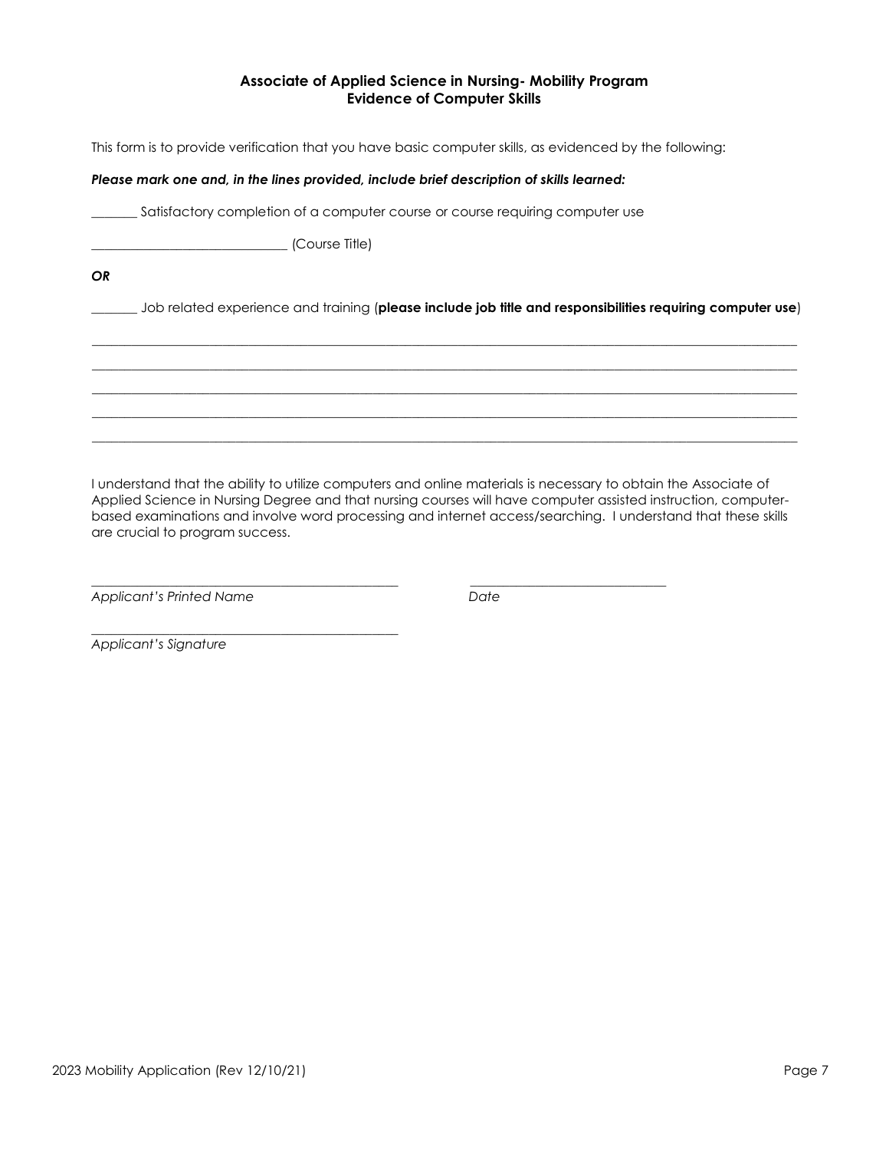# **Associate of Applied Science in Nursing- Mobility Program Evidence of Computer Skills**

This form is to provide verification that you have basic computer skills, as evidenced by the following:

## *Please mark one and, in the lines provided, include brief description of skills learned:*

\_\_\_\_\_\_\_ Satisfactory completion of a computer course or course requiring computer use

\_\_\_\_\_\_\_\_\_\_\_\_\_\_\_\_\_\_\_\_\_\_\_\_\_\_\_\_\_\_ (Course Title)

*OR*

\_\_\_\_\_\_\_ Job related experience and training (**please include job title and responsibilities requiring computer use**)

\_\_\_\_\_\_\_\_\_\_\_\_\_\_\_\_\_\_\_\_\_\_\_\_\_\_\_\_\_\_\_\_\_\_\_\_\_\_\_\_\_\_\_\_\_\_\_\_\_\_\_\_\_\_\_\_\_\_\_\_\_\_\_\_\_\_\_\_\_\_\_\_\_\_\_\_\_\_\_\_\_\_\_\_\_\_\_\_\_\_\_\_\_\_\_\_\_\_\_\_\_\_\_\_\_\_\_\_ \_\_\_\_\_\_\_\_\_\_\_\_\_\_\_\_\_\_\_\_\_\_\_\_\_\_\_\_\_\_\_\_\_\_\_\_\_\_\_\_\_\_\_\_\_\_\_\_\_\_\_\_\_\_\_\_\_\_\_\_\_\_\_\_\_\_\_\_\_\_\_\_\_\_\_\_\_\_\_\_\_\_\_\_\_\_\_\_\_\_\_\_\_\_\_\_\_\_\_\_\_\_\_\_\_\_\_\_ \_\_\_\_\_\_\_\_\_\_\_\_\_\_\_\_\_\_\_\_\_\_\_\_\_\_\_\_\_\_\_\_\_\_\_\_\_\_\_\_\_\_\_\_\_\_\_\_\_\_\_\_\_\_\_\_\_\_\_\_\_\_\_\_\_\_\_\_\_\_\_\_\_\_\_\_\_\_\_\_\_\_\_\_\_\_\_\_\_\_\_\_\_\_\_\_\_\_\_\_\_\_\_\_\_\_\_\_ \_\_\_\_\_\_\_\_\_\_\_\_\_\_\_\_\_\_\_\_\_\_\_\_\_\_\_\_\_\_\_\_\_\_\_\_\_\_\_\_\_\_\_\_\_\_\_\_\_\_\_\_\_\_\_\_\_\_\_\_\_\_\_\_\_\_\_\_\_\_\_\_\_\_\_\_\_\_\_\_\_\_\_\_\_\_\_\_\_\_\_\_\_\_\_\_\_\_\_\_\_\_\_\_\_\_\_\_ \_\_\_\_\_\_\_\_\_\_\_\_\_\_\_\_\_\_\_\_\_\_\_\_\_\_\_\_\_\_\_\_\_\_\_\_\_\_\_\_\_\_\_\_\_\_\_\_\_\_\_\_\_\_\_\_\_\_\_\_\_\_\_\_\_\_\_\_\_\_\_\_\_\_\_\_\_\_\_\_\_\_\_\_\_\_\_\_\_\_\_\_\_\_\_\_\_\_\_\_\_\_\_\_\_\_\_\_

I understand that the ability to utilize computers and online materials is necessary to obtain the Associate of Applied Science in Nursing Degree and that nursing courses will have computer assisted instruction, computerbased examinations and involve word processing and internet access/searching. I understand that these skills are crucial to program success.

*\_\_\_\_\_\_\_\_\_\_\_\_\_\_\_\_\_\_\_\_\_\_\_\_\_\_\_\_\_\_\_\_\_\_\_\_\_\_\_\_\_\_\_\_\_\_\_ \_\_\_\_\_\_\_\_\_\_\_\_\_\_\_\_\_\_\_\_\_\_\_\_\_\_\_\_\_\_*

*Applicant's Printed Name Date*

\_\_\_\_\_\_\_\_\_\_\_\_\_\_\_\_\_\_\_\_\_\_\_\_\_\_\_\_\_\_\_\_\_\_\_\_\_\_\_\_\_\_\_\_\_\_\_

*Applicant's Signature*